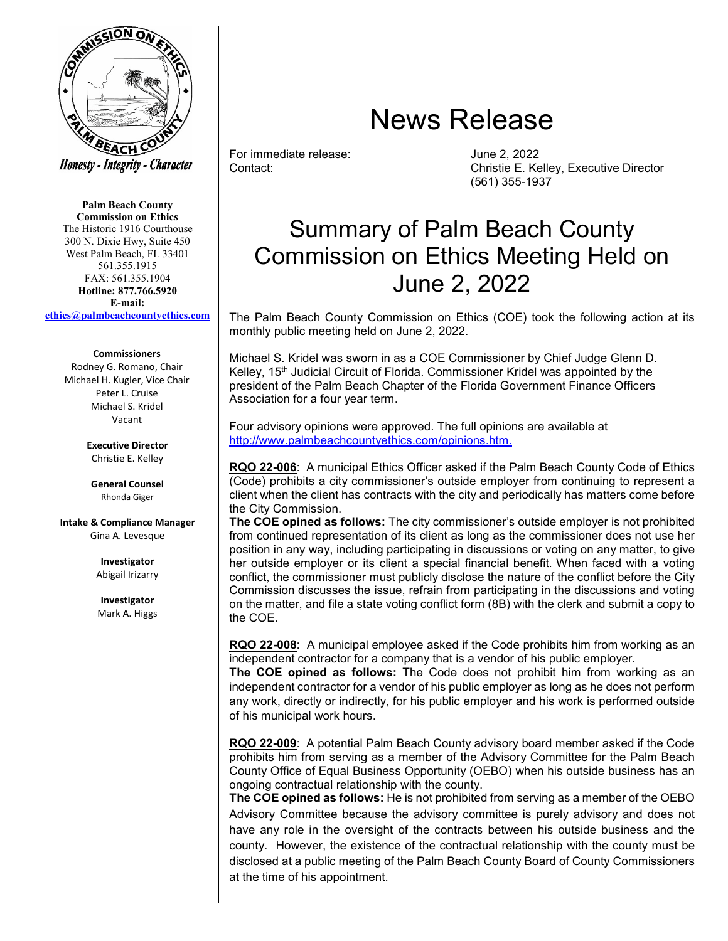

**Palm Beach County Commission on Ethics** The Historic 1916 Courthouse 300 N. Dixie Hwy, Suite 450 West Palm Beach, FL 33401 561.355.1915 FAX: 561.355.1904 **Hotline: 877.766.5920 E-mail: [ethics@palmbeachcountyethics.com](mailto:ethics@pbcgov.org)**

## **Commissioners**

Rodney G. Romano, Chair Michael H. Kugler, Vice Chair Peter L. Cruise Michael S. Kridel Vacant

> **Executive Director** Christie E. Kelley

**General Counsel** Rhonda Giger

**Intake & Compliance Manager** Gina A. Levesque

> **Investigator** Abigail Irizarry

**Investigator** Mark A. Higgs

## News Release

For immediate release:  $\begin{array}{ccc} \text{June 2, 2022} \\ \text{Context:} \end{array}$ 

Christie E. Kelley, Executive Director (561) 355-1937

## Summary of Palm Beach County Commission on Ethics Meeting Held on June 2, 2022

The Palm Beach County Commission on Ethics (COE) took the following action at its monthly public meeting held on June 2, 2022.

Michael S. Kridel was sworn in as a COE Commissioner by Chief Judge Glenn D. Kelley, 15<sup>th</sup> Judicial Circuit of Florida. Commissioner Kridel was appointed by the president of the Palm Beach Chapter of the Florida Government Finance Officers Association for a four year term.

Four advisory opinions were approved. The full opinions are available at [http://www.palmbeachcountyethics.com/opinions.htm.](http://www.palmbeachcountyethics.com/opinions.htm)

**RQO 22-006**: A municipal Ethics Officer asked if the Palm Beach County Code of Ethics (Code) prohibits a city commissioner's outside employer from continuing to represent a client when the client has contracts with the city and periodically has matters come before the City Commission.

**The COE opined as follows:** The city commissioner's outside employer is not prohibited from continued representation of its client as long as the commissioner does not use her position in any way, including participating in discussions or voting on any matter, to give her outside employer or its client a special financial benefit. When faced with a voting conflict, the commissioner must publicly disclose the nature of the conflict before the City Commission discusses the issue, refrain from participating in the discussions and voting on the matter, and file a state voting conflict form (8B) with the clerk and submit a copy to the COE.

**RQO 22-008**: A municipal employee asked if the Code prohibits him from working as an independent contractor for a company that is a vendor of his public employer.

**The COE opined as follows:** The Code does not prohibit him from working as an independent contractor for a vendor of his public employer as long as he does not perform any work, directly or indirectly, for his public employer and his work is performed outside of his municipal work hours.

**RQO 22-009**: A potential Palm Beach County advisory board member asked if the Code prohibits him from serving as a member of the Advisory Committee for the Palm Beach County Office of Equal Business Opportunity (OEBO) when his outside business has an ongoing contractual relationship with the county.

**The COE opined as follows:** He is not prohibited from serving as a member of the OEBO Advisory Committee because the advisory committee is purely advisory and does not have any role in the oversight of the contracts between his outside business and the county. However, the existence of the contractual relationship with the county must be disclosed at a public meeting of the Palm Beach County Board of County Commissioners at the time of his appointment.